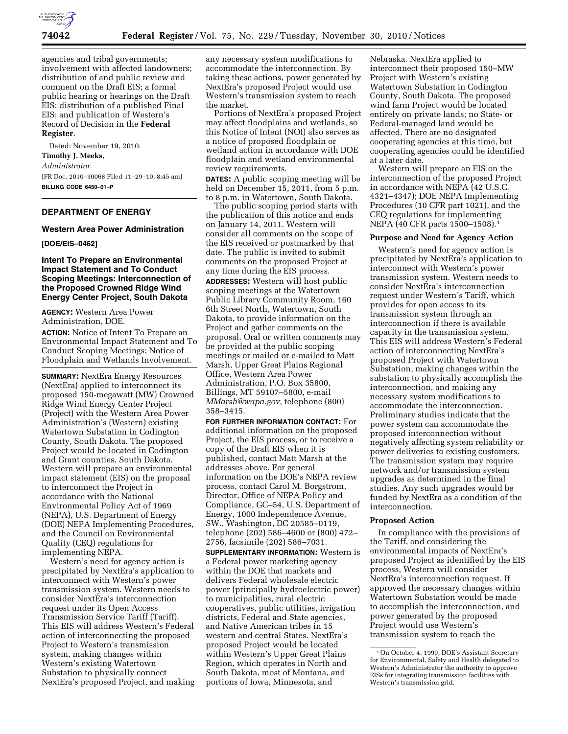

agencies and tribal governments; involvement with affected landowners; distribution of and public review and comment on the Draft EIS; a formal public hearing or hearings on the Draft EIS; distribution of a published Final EIS; and publication of Western's Record of Decision in the **Federal Register**.

Dated: November 19, 2010. **Timothy J. Meeks,**  *Administrator.*  [FR Doc. 2010–30068 Filed 11–29–10; 8:45 am] **BILLING CODE 6450–01–P** 

# **DEPARTMENT OF ENERGY**

## **Western Area Power Administration**

**[DOE/EIS–0462]** 

### **Intent To Prepare an Environmental Impact Statement and To Conduct Scoping Meetings: Interconnection of the Proposed Crowned Ridge Wind Energy Center Project, South Dakota**

**AGENCY:** Western Area Power Administration, DOE.

**ACTION:** Notice of Intent To Prepare an Environmental Impact Statement and To Conduct Scoping Meetings; Notice of Floodplain and Wetlands Involvement.

**SUMMARY:** NextEra Energy Resources (NextEra) applied to interconnect its proposed 150-megawatt (MW) Crowned Ridge Wind Energy Center Project (Project) with the Western Area Power Administration's (Western) existing Watertown Substation in Codington County, South Dakota. The proposed Project would be located in Codington and Grant counties, South Dakota. Western will prepare an environmental impact statement (EIS) on the proposal to interconnect the Project in accordance with the National Environmental Policy Act of 1969 (NEPA), U.S. Department of Energy (DOE) NEPA Implementing Procedures, and the Council on Environmental Quality (CEQ) regulations for implementing NEPA.

Western's need for agency action is precipitated by NextEra's application to interconnect with Western's power transmission system. Western needs to consider NextEra's interconnection request under its Open Access Transmission Service Tariff (Tariff). This EIS will address Western's Federal action of interconnecting the proposed Project to Western's transmission system, making changes within Western's existing Watertown Substation to physically connect NextEra's proposed Project, and making any necessary system modifications to accommodate the interconnection. By taking these actions, power generated by NextEra's proposed Project would use Western's transmission system to reach the market.

Portions of NextEra's proposed Project may affect floodplains and wetlands, so this Notice of Intent (NOI) also serves as a notice of proposed floodplain or wetland action in accordance with DOE floodplain and wetland environmental review requirements.

**DATES:** A public scoping meeting will be held on December 15, 2011, from 5 p.m. to 8 p.m. in Watertown, South Dakota.

The public scoping period starts with the publication of this notice and ends on January 14, 2011. Western will consider all comments on the scope of the EIS received or postmarked by that date. The public is invited to submit comments on the proposed Project at any time during the EIS process. **ADDRESSES:** Western will host public scoping meetings at the Watertown Public Library Community Room, 160 6th Street North, Watertown, South Dakota, to provide information on the Project and gather comments on the proposal. Oral or written comments may be provided at the public scoping meetings or mailed or e-mailed to Matt Marsh, Upper Great Plains Regional Office, Western Area Power Administration, P.O. Box 35800, Billings, MT 59107–5800, e-mail *[MMarsh@wapa.gov,](mailto:MMarsh@wapa.gov)* telephone (800) 358–3415.

**FOR FURTHER INFORMATION CONTACT:** For additional information on the proposed Project, the EIS process, or to receive a copy of the Draft EIS when it is published, contact Matt Marsh at the addresses above. For general information on the DOE's NEPA review process, contact Carol M. Borgstrom, Director, Office of NEPA Policy and Compliance, GC–54, U.S. Department of Energy, 1000 Independence Avenue, SW., Washington, DC 20585–0119, telephone (202) 586–4600 or (800) 472– 2756, facsimile (202) 586–7031.

**SUPPLEMENTARY INFORMATION:** Western is a Federal power marketing agency within the DOE that markets and delivers Federal wholesale electric power (principally hydroelectric power) to municipalities, rural electric cooperatives, public utilities, irrigation districts, Federal and State agencies, and Native American tribes in 15 western and central States. NextEra's proposed Project would be located within Western's Upper Great Plains Region, which operates in North and South Dakota, most of Montana, and portions of Iowa, Minnesota, and

Nebraska. NextEra applied to interconnect their proposed 150–MW Project with Western's existing Watertown Substation in Codington County, South Dakota. The proposed wind farm Project would be located entirely on private lands; no State- or Federal-managed land would be affected. There are no designated cooperating agencies at this time, but cooperating agencies could be identified at a later date.

Western will prepare an EIS on the interconnection of the proposed Project in accordance with NEPA (42 U.S.C. 4321–4347); DOE NEPA Implementing Procedures (10 CFR part 1021), and the CEQ regulations for implementing NEPA (40 CFR parts 1500–1508).1

#### **Purpose and Need for Agency Action**

Western's need for agency action is precipitated by NextEra's application to interconnect with Western's power transmission system. Western needs to consider NextEra's interconnection request under Western's Tariff, which provides for open access to its transmission system through an interconnection if there is available capacity in the transmission system. This EIS will address Western's Federal action of interconnecting NextEra's proposed Project with Watertown Substation, making changes within the substation to physically accomplish the interconnection, and making any necessary system modifications to accommodate the interconnection. Preliminary studies indicate that the power system can accommodate the proposed interconnection without negatively affecting system reliability or power deliveries to existing customers. The transmission system may require network and/or transmission system upgrades as determined in the final studies. Any such upgrades would be funded by NextEra as a condition of the interconnection.

#### **Proposed Action**

In compliance with the provisions of the Tariff, and considering the environmental impacts of NextEra's proposed Project as identified by the EIS process, Western will consider NextEra's interconnection request. If approved the necessary changes within Watertown Substation would be made to accomplish the interconnection, and power generated by the proposed Project would use Western's transmission system to reach the

<sup>1</sup>On October 4, 1999, DOE's Assistant Secretary for Environmental, Safety and Health delegated to Western's Administrator the authority to approve EISs for integrating transmission facilities with Western's transmission grid.